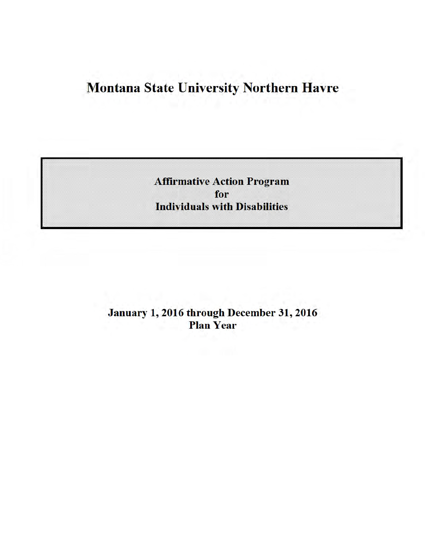# **Montana State University Northern Havre**

**Affirmative Action Program** for **Individuals with Disabilities** 

January 1, 2016 through December 31, 2016 **Plan Year**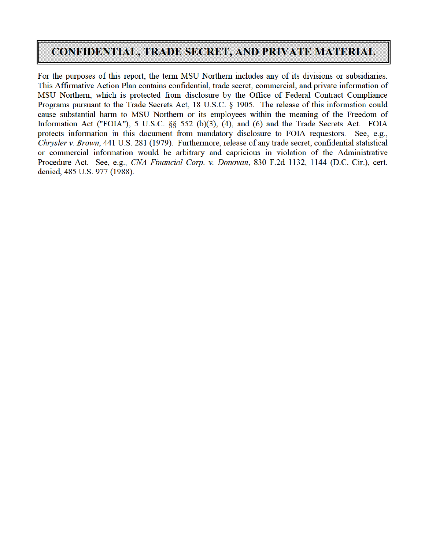# **CONFIDENTIAL, TRADE SECRET, AND PRIVATE MATERIAL**

For the purposes of this report, the term MSU Northern includes any of its divisions or subsidiaries. This Affirmative Action Plan contains confidential, trade secret, commercial, and private information of MSU Northern, which is protected from disclosure by the Office of Federal Contract Compliance Programs pursuant to the Trade Secrets Act, 18 U.S.C. § 1905. The release of this information could cause substantial harm to MSU Northern or its employees within the meaning of the Freedom of Information Act ("FOIA"), 5 U.S.C. §§ 552 (b)(3), (4), and (6) and the Trade Secrets Act. FOIA protects information in this document from mandatory disclosure to FOIA requestors. See, e.g., Chrysler v. Brown, 441 U.S. 281 (1979). Furthermore, release of any trade secret, confidential statistical or commercial information would be arbitrary and capricious in violation of the Administrative Procedure Act. See, e.g., CNA Financial Corp. v. Donovan, 830 F.2d 1132, 1144 (D.C. Cir.), cert. denied, 485 U.S. 977 (1988).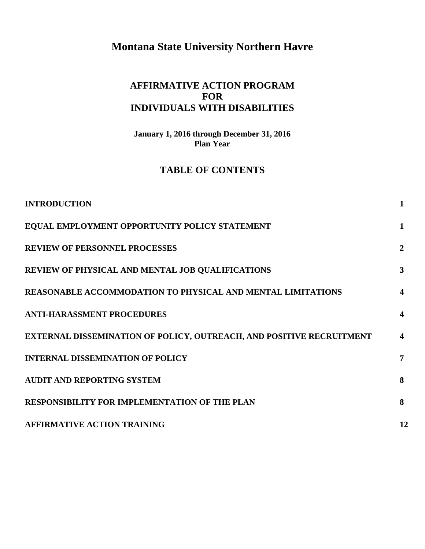# **Montana State University Northern Havre**

#### **AFFIRMATIVE ACTION PROGRAM FOR INDIVIDUALS WITH DISABILITIES**

**January 1, 2016 through December 31, 2016 Plan Year** 

## **TABLE OF CONTENTS**

| <b>INTRODUCTION</b>                                                  | $\mathbf{1}$            |
|----------------------------------------------------------------------|-------------------------|
| EQUAL EMPLOYMENT OPPORTUNITY POLICY STATEMENT                        | $\mathbf{1}$            |
| <b>REVIEW OF PERSONNEL PROCESSES</b>                                 | $\overline{2}$          |
| REVIEW OF PHYSICAL AND MENTAL JOB QUALIFICATIONS                     | 3                       |
| <b>REASONABLE ACCOMMODATION TO PHYSICAL AND MENTAL LIMITATIONS</b>   | $\boldsymbol{4}$        |
| <b>ANTI-HARASSMENT PROCEDURES</b>                                    | $\boldsymbol{4}$        |
| EXTERNAL DISSEMINATION OF POLICY, OUTREACH, AND POSITIVE RECRUITMENT | $\overline{\mathbf{4}}$ |
| <b>INTERNAL DISSEMINATION OF POLICY</b>                              | 7                       |
| <b>AUDIT AND REPORTING SYSTEM</b>                                    | 8                       |
| RESPONSIBILITY FOR IMPLEMENTATION OF THE PLAN                        | 8                       |
| <b>AFFIRMATIVE ACTION TRAINING</b>                                   | 12                      |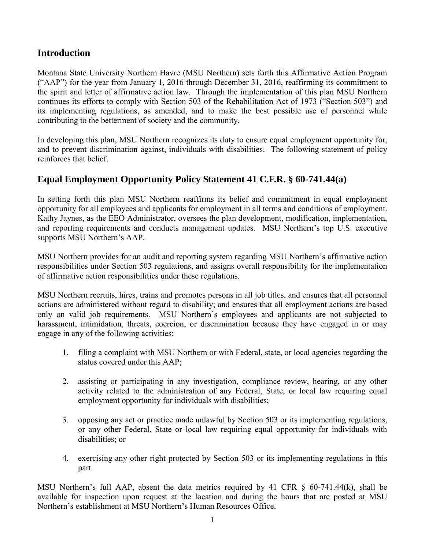#### **Introduction**

Montana State University Northern Havre (MSU Northern) sets forth this Affirmative Action Program ("AAP") for the year from January 1, 2016 through December 31, 2016, reaffirming its commitment to the spirit and letter of affirmative action law. Through the implementation of this plan MSU Northern continues its efforts to comply with Section 503 of the Rehabilitation Act of 1973 ("Section 503") and its implementing regulations, as amended, and to make the best possible use of personnel while contributing to the betterment of society and the community.

In developing this plan, MSU Northern recognizes its duty to ensure equal employment opportunity for, and to prevent discrimination against, individuals with disabilities. The following statement of policy reinforces that belief.

#### **Equal Employment Opportunity Policy Statement 41 C.F.R. § 60-741.44(a)**

In setting forth this plan MSU Northern reaffirms its belief and commitment in equal employment opportunity for all employees and applicants for employment in all terms and conditions of employment. Kathy Jaynes, as the EEO Administrator, oversees the plan development, modification, implementation, and reporting requirements and conducts management updates. MSU Northern's top U.S. executive supports MSU Northern's AAP.

MSU Northern provides for an audit and reporting system regarding MSU Northern's affirmative action responsibilities under Section 503 regulations, and assigns overall responsibility for the implementation of affirmative action responsibilities under these regulations.

MSU Northern recruits, hires, trains and promotes persons in all job titles, and ensures that all personnel actions are administered without regard to disability; and ensures that all employment actions are based only on valid job requirements. MSU Northern's employees and applicants are not subjected to harassment, intimidation, threats, coercion, or discrimination because they have engaged in or may engage in any of the following activities:

- 1. filing a complaint with MSU Northern or with Federal, state, or local agencies regarding the status covered under this AAP;
- 2. assisting or participating in any investigation, compliance review, hearing, or any other activity related to the administration of any Federal, State, or local law requiring equal employment opportunity for individuals with disabilities;
- 3. opposing any act or practice made unlawful by Section 503 or its implementing regulations, or any other Federal, State or local law requiring equal opportunity for individuals with disabilities; or
- 4. exercising any other right protected by Section 503 or its implementing regulations in this part.

MSU Northern's full AAP, absent the data metrics required by 41 CFR § 60-741.44(k), shall be available for inspection upon request at the location and during the hours that are posted at MSU Northern's establishment at MSU Northern's Human Resources Office.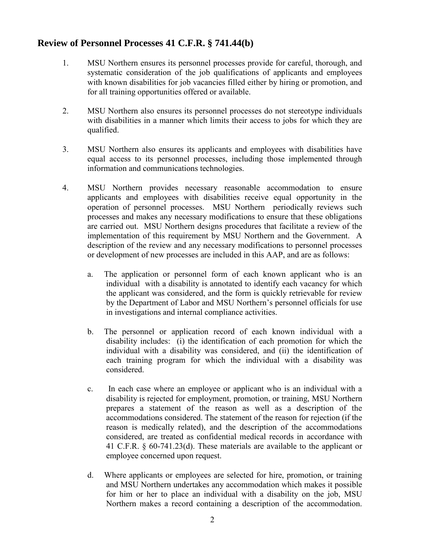#### **Review of Personnel Processes 41 C.F.R. § 741.44(b)**

- 1. MSU Northern ensures its personnel processes provide for careful, thorough, and systematic consideration of the job qualifications of applicants and employees with known disabilities for job vacancies filled either by hiring or promotion, and for all training opportunities offered or available.
- 2. MSU Northern also ensures its personnel processes do not stereotype individuals with disabilities in a manner which limits their access to jobs for which they are qualified.
- 3. MSU Northern also ensures its applicants and employees with disabilities have equal access to its personnel processes, including those implemented through information and communications technologies.
- 4. MSU Northern provides necessary reasonable accommodation to ensure applicants and employees with disabilities receive equal opportunity in the operation of personnel processes. MSU Northern periodically reviews such processes and makes any necessary modifications to ensure that these obligations are carried out. MSU Northern designs procedures that facilitate a review of the implementation of this requirement by MSU Northern and the Government. A description of the review and any necessary modifications to personnel processes or development of new processes are included in this AAP, and are as follows:
	- a. The application or personnel form of each known applicant who is an individual with a disability is annotated to identify each vacancy for which the applicant was considered, and the form is quickly retrievable for review by the Department of Labor and MSU Northern's personnel officials for use in investigations and internal compliance activities.
	- b. The personnel or application record of each known individual with a disability includes: (i) the identification of each promotion for which the individual with a disability was considered, and (ii) the identification of each training program for which the individual with a disability was considered.
	- c. In each case where an employee or applicant who is an individual with a disability is rejected for employment, promotion, or training, MSU Northern prepares a statement of the reason as well as a description of the accommodations considered. The statement of the reason for rejection (if the reason is medically related), and the description of the accommodations considered, are treated as confidential medical records in accordance with 41 C.F.R. § 60-741.23(d). These materials are available to the applicant or employee concerned upon request.
	- d. Where applicants or employees are selected for hire, promotion, or training and MSU Northern undertakes any accommodation which makes it possible for him or her to place an individual with a disability on the job, MSU Northern makes a record containing a description of the accommodation.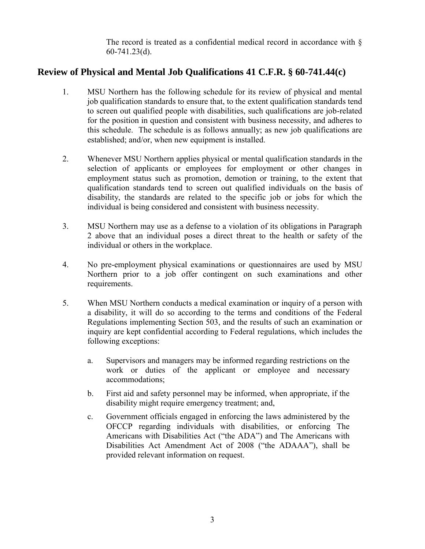The record is treated as a confidential medical record in accordance with  $\delta$ 60-741.23(d).

#### **Review of Physical and Mental Job Qualifications 41 C.F.R. § 60-741.44(c)**

- 1. MSU Northern has the following schedule for its review of physical and mental job qualification standards to ensure that, to the extent qualification standards tend to screen out qualified people with disabilities, such qualifications are job-related for the position in question and consistent with business necessity, and adheres to this schedule. The schedule is as follows annually; as new job qualifications are established; and/or, when new equipment is installed.
- 2. Whenever MSU Northern applies physical or mental qualification standards in the selection of applicants or employees for employment or other changes in employment status such as promotion, demotion or training, to the extent that qualification standards tend to screen out qualified individuals on the basis of disability, the standards are related to the specific job or jobs for which the individual is being considered and consistent with business necessity.
- 3. MSU Northern may use as a defense to a violation of its obligations in Paragraph 2 above that an individual poses a direct threat to the health or safety of the individual or others in the workplace.
- 4. No pre-employment physical examinations or questionnaires are used by MSU Northern prior to a job offer contingent on such examinations and other requirements.
- 5. When MSU Northern conducts a medical examination or inquiry of a person with a disability, it will do so according to the terms and conditions of the Federal Regulations implementing Section 503, and the results of such an examination or inquiry are kept confidential according to Federal regulations, which includes the following exceptions:
	- a. Supervisors and managers may be informed regarding restrictions on the work or duties of the applicant or employee and necessary accommodations;
	- b. First aid and safety personnel may be informed, when appropriate, if the disability might require emergency treatment; and,
	- c. Government officials engaged in enforcing the laws administered by the OFCCP regarding individuals with disabilities, or enforcing The Americans with Disabilities Act ("the ADA") and The Americans with Disabilities Act Amendment Act of 2008 ("the ADAAA"), shall be provided relevant information on request.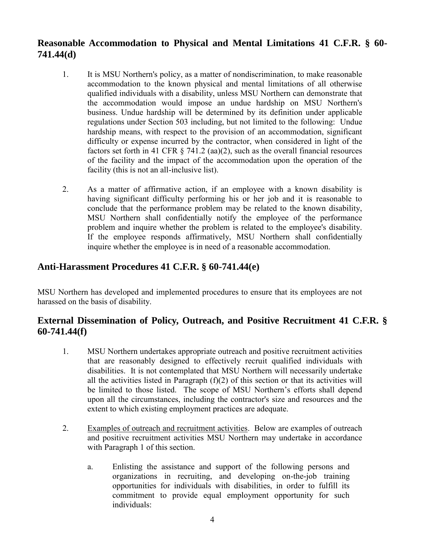## **Reasonable Accommodation to Physical and Mental Limitations 41 C.F.R. § 60- 741.44(d)**

- 1. It is MSU Northern's policy, as a matter of nondiscrimination, to make reasonable accommodation to the known physical and mental limitations of all otherwise qualified individuals with a disability, unless MSU Northern can demonstrate that the accommodation would impose an undue hardship on MSU Northern's business. Undue hardship will be determined by its definition under applicable regulations under Section 503 including, but not limited to the following: Undue hardship means, with respect to the provision of an accommodation, significant difficulty or expense incurred by the contractor, when considered in light of the factors set forth in 41 CFR  $\S$  741.2 (aa)(2), such as the overall financial resources of the facility and the impact of the accommodation upon the operation of the facility (this is not an all-inclusive list).
- 2. As a matter of affirmative action, if an employee with a known disability is having significant difficulty performing his or her job and it is reasonable to conclude that the performance problem may be related to the known disability, MSU Northern shall confidentially notify the employee of the performance problem and inquire whether the problem is related to the employee's disability. If the employee responds affirmatively, MSU Northern shall confidentially inquire whether the employee is in need of a reasonable accommodation.

#### **Anti-Harassment Procedures 41 C.F.R. § 60-741.44(e)**

MSU Northern has developed and implemented procedures to ensure that its employees are not harassed on the basis of disability.

#### **External Dissemination of Policy, Outreach, and Positive Recruitment 41 C.F.R. § 60-741.44(f)**

- 1. MSU Northern undertakes appropriate outreach and positive recruitment activities that are reasonably designed to effectively recruit qualified individuals with disabilities. It is not contemplated that MSU Northern will necessarily undertake all the activities listed in Paragraph  $(f)(2)$  of this section or that its activities will be limited to those listed. The scope of MSU Northern's efforts shall depend upon all the circumstances, including the contractor's size and resources and the extent to which existing employment practices are adequate.
- 2. Examples of outreach and recruitment activities. Below are examples of outreach and positive recruitment activities MSU Northern may undertake in accordance with Paragraph 1 of this section.
	- a. Enlisting the assistance and support of the following persons and organizations in recruiting, and developing on-the-job training opportunities for individuals with disabilities, in order to fulfill its commitment to provide equal employment opportunity for such individuals: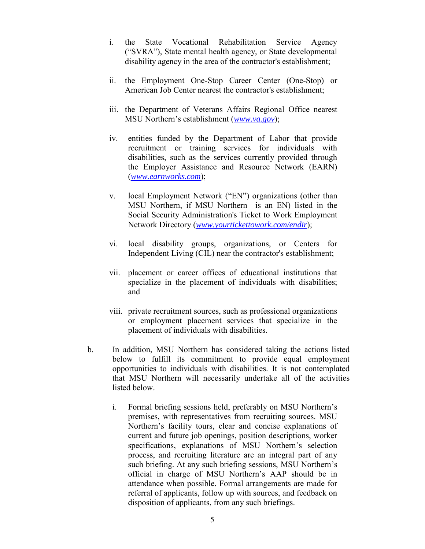- i. the State Vocational Rehabilitation Service Agency ("SVRA"), State mental health agency, or State developmental disability agency in the area of the contractor's establishment;
- ii. the Employment One-Stop Career Center (One-Stop) or American Job Center nearest the contractor's establishment;
- iii. the Department of Veterans Affairs Regional Office nearest MSU Northern's establishment (*www.va.gov*);
- iv. entities funded by the Department of Labor that provide recruitment or training services for individuals with disabilities, such as the services currently provided through the Employer Assistance and Resource Network (EARN) (*www.earnworks.com*);
- v. local Employment Network ("EN") organizations (other than MSU Northern, if MSU Northern is an EN) listed in the Social Security Administration's Ticket to Work Employment Network Directory (*www.yourtickettowork.com/endir*);
- vi. local disability groups, organizations, or Centers for Independent Living (CIL) near the contractor's establishment;
- vii. placement or career offices of educational institutions that specialize in the placement of individuals with disabilities; and
- viii. private recruitment sources, such as professional organizations or employment placement services that specialize in the placement of individuals with disabilities.
- b. In addition, MSU Northern has considered taking the actions listed below to fulfill its commitment to provide equal employment opportunities to individuals with disabilities. It is not contemplated that MSU Northern will necessarily undertake all of the activities listed below.
	- i. Formal briefing sessions held, preferably on MSU Northern's premises, with representatives from recruiting sources. MSU Northern's facility tours, clear and concise explanations of current and future job openings, position descriptions, worker specifications, explanations of MSU Northern's selection process, and recruiting literature are an integral part of any such briefing. At any such briefing sessions, MSU Northern's official in charge of MSU Northern's AAP should be in attendance when possible. Formal arrangements are made for referral of applicants, follow up with sources, and feedback on disposition of applicants, from any such briefings.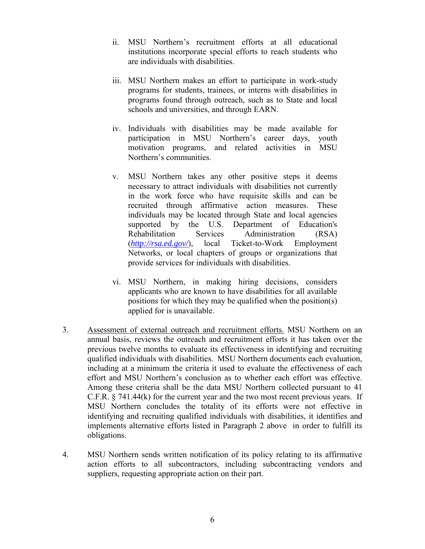- ii. MSU Northern's recruitment efforts at all educational institutions incorporate special efforts to reach students who are individuals with disabilities.
- iii. MSU Northern makes an effort to participate in work-study programs for students, trainees, or interns with disabilities in programs found through outreach, such as to State and local schools and universities, and through EARN.
- iv. Individuals with disabilities may be made available for participation in MSU Northern's career days, youth motivation programs, and related activities in MSU Northern's communities.
- v. MSU Northern takes any other positive steps it deems necessary to attract individuals with disabilities not currently in the work force who have requisite skills and can be recruited through affirmative action measures. These individuals may be located through State and local agencies supported by the U.S. Department of Education's Rehabilitation Services Administration (RSA) (*http://rsa.ed.gov/*), local Ticket-to-Work Employment Networks, or local chapters of groups or organizations that provide services for individuals with disabilities.
- vi. MSU Northern, in making hiring decisions, considers applicants who are known to have disabilities for all available positions for which they may be qualified when the position(s) applied for is unavailable.
- 3. Assessment of external outreach and recruitment efforts. MSU Northern on an annual basis, reviews the outreach and recruitment efforts it has taken over the previous twelve months to evaluate its effectiveness in identifying and recruiting qualified individuals with disabilities. MSU Northern documents each evaluation, including at a minimum the criteria it used to evaluate the effectiveness of each effort and MSU Northern's conclusion as to whether each effort was effective. Among these criteria shall be the data MSU Northern collected pursuant to 41 C.F.R. § 741.44(k) for the current year and the two most recent previous years. If MSU Northern concludes the totality of its efforts were not effective in identifying and recruiting qualified individuals with disabilities, it identifies and implements alternative efforts listed in Paragraph 2 above in order to fulfill its obligations.
- 4. MSU Northern sends written notification of its policy relating to its affirmative action efforts to all subcontractors, including subcontracting vendors and suppliers, requesting appropriate action on their part.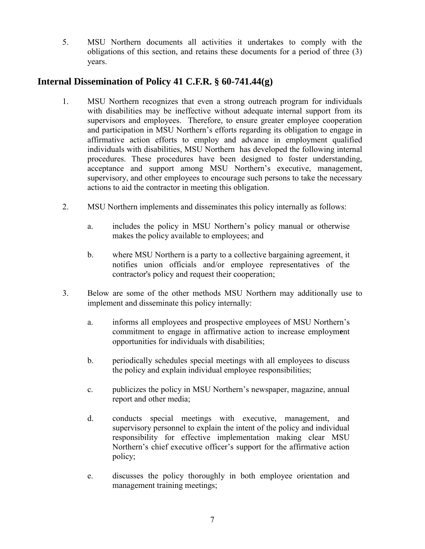5. MSU Northern documents all activities it undertakes to comply with the obligations of this section, and retains these documents for a period of three (3) years.

## **Internal Dissemination of Policy 41 C.F.R. § 60-741.44(g)**

- 1. MSU Northern recognizes that even a strong outreach program for individuals with disabilities may be ineffective without adequate internal support from its supervisors and employees. Therefore, to ensure greater employee cooperation and participation in MSU Northern's efforts regarding its obligation to engage in affirmative action efforts to employ and advance in employment qualified individuals with disabilities, MSU Northern has developed the following internal procedures. These procedures have been designed to foster understanding, acceptance and support among MSU Northern's executive, management, supervisory, and other employees to encourage such persons to take the necessary actions to aid the contractor in meeting this obligation.
- 2. MSU Northern implements and disseminates this policy internally as follows:
	- a. includes the policy in MSU Northern's policy manual or otherwise makes the policy available to employees; and
	- b. where MSU Northern is a party to a collective bargaining agreement, it notifies union officials and/or employee representatives of the contractor's policy and request their cooperation;
- 3. Below are some of the other methods MSU Northern may additionally use to implement and disseminate this policy internally:
	- a. informs all employees and prospective employees of MSU Northern's commitment to engage in affirmative action to increase employm**e**nt opportunities for individuals with disabilities;
	- b. periodically schedules special meetings with all employees to discuss the policy and explain individual employee responsibilities;
	- c. publicizes the policy in MSU Northern's newspaper, magazine, annual report and other media;
	- d. conducts special meetings with executive, management, and supervisory personnel to explain the intent of the policy and individual responsibility for effective implementation making clear MSU Northern's chief executive officer's support for the affirmative action policy;
	- e. discusses the policy thoroughly in both employee orientation and management training meetings;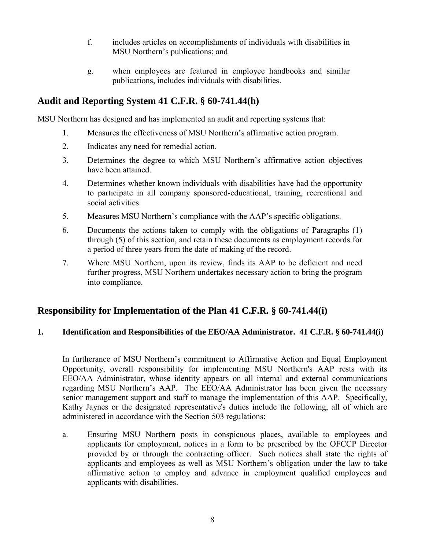- f. includes articles on accomplishments of individuals with disabilities in MSU Northern's publications; and
- g. when employees are featured in employee handbooks and similar publications, includes individuals with disabilities.

#### **Audit and Reporting System 41 C.F.R. § 60-741.44(h)**

MSU Northern has designed and has implemented an audit and reporting systems that:

- 1. Measures the effectiveness of MSU Northern's affirmative action program.
- 2. Indicates any need for remedial action.
- 3. Determines the degree to which MSU Northern's affirmative action objectives have been attained.
- 4. Determines whether known individuals with disabilities have had the opportunity to participate in all company sponsored-educational, training, recreational and social activities.
- 5. Measures MSU Northern's compliance with the AAP's specific obligations.
- 6. Documents the actions taken to comply with the obligations of Paragraphs (1) through (5) of this section, and retain these documents as employment records for a period of three years from the date of making of the record.
- 7. Where MSU Northern, upon its review, finds its AAP to be deficient and need further progress, MSU Northern undertakes necessary action to bring the program into compliance.

## **Responsibility for Implementation of the Plan 41 C.F.R. § 60-741.44(i)**

#### **1. Identification and Responsibilities of the EEO/AA Administrator. 41 C.F.R. § 60-741.44(i)**

In furtherance of MSU Northern's commitment to Affirmative Action and Equal Employment Opportunity, overall responsibility for implementing MSU Northern's AAP rests with its EEO/AA Administrator, whose identity appears on all internal and external communications regarding MSU Northern's AAP. The EEO/AA Administrator has been given the necessary senior management support and staff to manage the implementation of this AAP. Specifically, Kathy Jaynes or the designated representative's duties include the following, all of which are administered in accordance with the Section 503 regulations:

a. Ensuring MSU Northern posts in conspicuous places, available to employees and applicants for employment, notices in a form to be prescribed by the OFCCP Director provided by or through the contracting officer. Such notices shall state the rights of applicants and employees as well as MSU Northern's obligation under the law to take affirmative action to employ and advance in employment qualified employees and applicants with disabilities.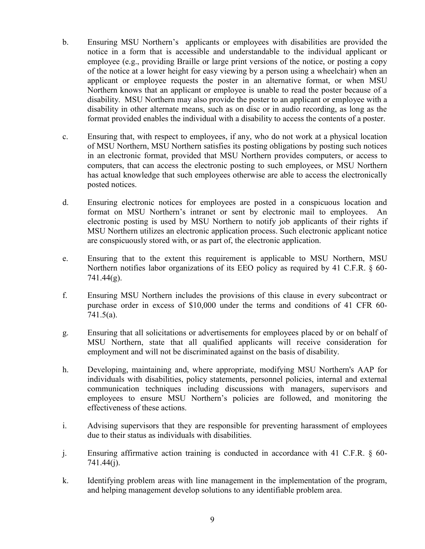- b. Ensuring MSU Northern's applicants or employees with disabilities are provided the notice in a form that is accessible and understandable to the individual applicant or employee (e.g., providing Braille or large print versions of the notice, or posting a copy of the notice at a lower height for easy viewing by a person using a wheelchair) when an applicant or employee requests the poster in an alternative format, or when MSU Northern knows that an applicant or employee is unable to read the poster because of a disability. MSU Northern may also provide the poster to an applicant or employee with a disability in other alternate means, such as on disc or in audio recording, as long as the format provided enables the individual with a disability to access the contents of a poster.
- c. Ensuring that, with respect to employees, if any, who do not work at a physical location of MSU Northern, MSU Northern satisfies its posting obligations by posting such notices in an electronic format, provided that MSU Northern provides computers, or access to computers, that can access the electronic posting to such employees, or MSU Northern has actual knowledge that such employees otherwise are able to access the electronically posted notices.
- d. Ensuring electronic notices for employees are posted in a conspicuous location and format on MSU Northern's intranet or sent by electronic mail to employees. An electronic posting is used by MSU Northern to notify job applicants of their rights if MSU Northern utilizes an electronic application process. Such electronic applicant notice are conspicuously stored with, or as part of, the electronic application.
- e. Ensuring that to the extent this requirement is applicable to MSU Northern, MSU Northern notifies labor organizations of its EEO policy as required by 41 C.F.R. § 60- 741.44(g).
- f. Ensuring MSU Northern includes the provisions of this clause in every subcontract or purchase order in excess of \$10,000 under the terms and conditions of 41 CFR 60- 741.5(a).
- g. Ensuring that all solicitations or advertisements for employees placed by or on behalf of MSU Northern, state that all qualified applicants will receive consideration for employment and will not be discriminated against on the basis of disability.
- h. Developing, maintaining and, where appropriate, modifying MSU Northern's AAP for individuals with disabilities, policy statements, personnel policies, internal and external communication techniques including discussions with managers, supervisors and employees to ensure MSU Northern's policies are followed, and monitoring the effectiveness of these actions.
- i. Advising supervisors that they are responsible for preventing harassment of employees due to their status as individuals with disabilities.
- j. Ensuring affirmative action training is conducted in accordance with 41 C.F.R. § 60- 741.44(j).
- k. Identifying problem areas with line management in the implementation of the program, and helping management develop solutions to any identifiable problem area.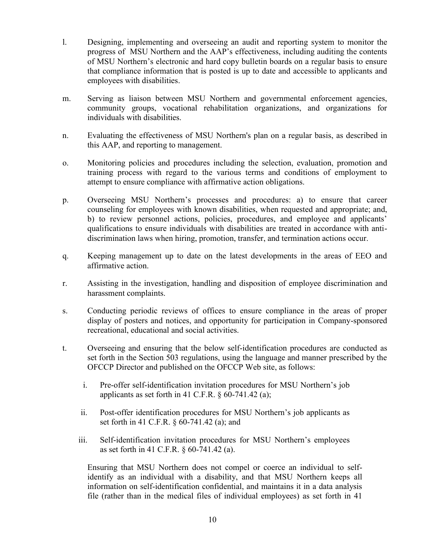- l. Designing, implementing and overseeing an audit and reporting system to monitor the progress of MSU Northern and the AAP's effectiveness, including auditing the contents of MSU Northern's electronic and hard copy bulletin boards on a regular basis to ensure that compliance information that is posted is up to date and accessible to applicants and employees with disabilities.
- m. Serving as liaison between MSU Northern and governmental enforcement agencies, community groups, vocational rehabilitation organizations, and organizations for individuals with disabilities.
- n. Evaluating the effectiveness of MSU Northern's plan on a regular basis, as described in this AAP, and reporting to management.
- o. Monitoring policies and procedures including the selection, evaluation, promotion and training process with regard to the various terms and conditions of employment to attempt to ensure compliance with affirmative action obligations.
- p. Overseeing MSU Northern's processes and procedures: a) to ensure that career counseling for employees with known disabilities, when requested and appropriate; and, b) to review personnel actions, policies, procedures, and employee and applicants' qualifications to ensure individuals with disabilities are treated in accordance with antidiscrimination laws when hiring, promotion, transfer, and termination actions occur.
- q. Keeping management up to date on the latest developments in the areas of EEO and affirmative action.
- r. Assisting in the investigation, handling and disposition of employee discrimination and harassment complaints.
- s. Conducting periodic reviews of offices to ensure compliance in the areas of proper display of posters and notices, and opportunity for participation in Company-sponsored recreational, educational and social activities.
- t. Overseeing and ensuring that the below self-identification procedures are conducted as set forth in the Section 503 regulations, using the language and manner prescribed by the OFCCP Director and published on the OFCCP Web site, as follows:
	- i. Pre-offer self-identification invitation procedures for MSU Northern's job applicants as set forth in 41 C.F.R.  $\frac{60-741.42}{a}$ ;
	- ii. Post-offer identification procedures for MSU Northern's job applicants as set forth in 41 C.F.R. § 60-741.42 (a); and
	- iii. Self-identification invitation procedures for MSU Northern's employees as set forth in 41 C.F.R. § 60-741.42 (a).

Ensuring that MSU Northern does not compel or coerce an individual to selfidentify as an individual with a disability, and that MSU Northern keeps all information on self-identification confidential, and maintains it in a data analysis file (rather than in the medical files of individual employees) as set forth in 41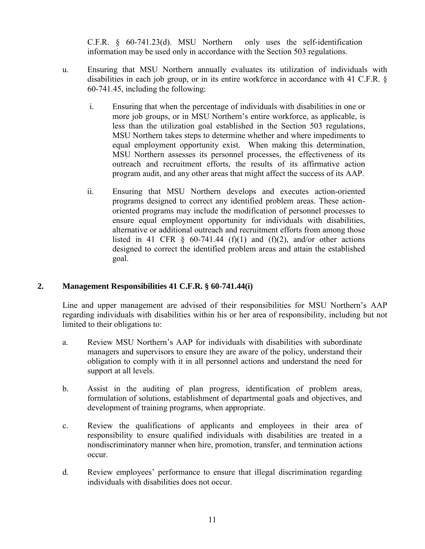C.F.R. § 60-741.23(d). MSU Northern only uses the self-identification information may be used only in accordance with the Section 503 regulations.

- u. Ensuring that MSU Northern annually evaluates its utilization of individuals with disabilities in each job group, or in its entire workforce in accordance with 41 C.F.R. § 60-741.45, including the following:
	- i. Ensuring that when the percentage of individuals with disabilities in one or more job groups, or in MSU Northern's entire workforce, as applicable, is less than the utilization goal established in the Section 503 regulations, MSU Northern takes steps to determine whether and where impediments to equal employment opportunity exist. When making this determination, MSU Northern assesses its personnel processes, the effectiveness of its outreach and recruitment efforts, the results of its affirmative action program audit, and any other areas that might affect the success of its AAP.
	- ii. Ensuring that MSU Northern develops and executes action-oriented programs designed to correct any identified problem areas. These actionoriented programs may include the modification of personnel processes to ensure equal employment opportunity for individuals with disabilities, alternative or additional outreach and recruitment efforts from among those listed in 41 CFR  $\S$  60-741.44 (f)(1) and (f)(2), and/or other actions designed to correct the identified problem areas and attain the established goal.

#### **2. Management Responsibilities 41 C.F.R. § 60-741.44(i)**

Line and upper management are advised of their responsibilities for MSU Northern's AAP regarding individuals with disabilities within his or her area of responsibility, including but not limited to their obligations to:

- a. Review MSU Northern's AAP for individuals with disabilities with subordinate managers and supervisors to ensure they are aware of the policy, understand their obligation to comply with it in all personnel actions and understand the need for support at all levels.
- b. Assist in the auditing of plan progress, identification of problem areas, formulation of solutions, establishment of departmental goals and objectives, and development of training programs, when appropriate.
- c. Review the qualifications of applicants and employees in their area of responsibility to ensure qualified individuals with disabilities are treated in a nondiscriminatory manner when hire, promotion, transfer, and termination actions occur.
- d. Review employees' performance to ensure that illegal discrimination regarding individuals with disabilities does not occur.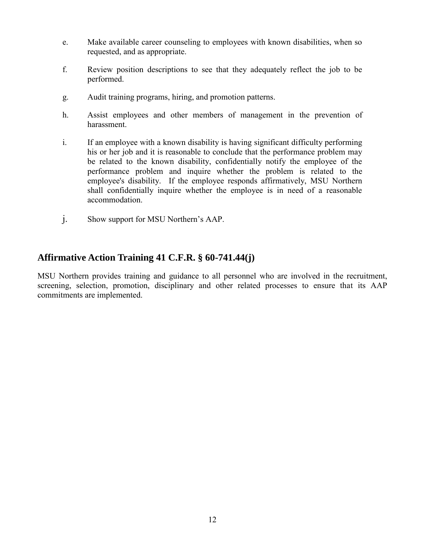- e. Make available career counseling to employees with known disabilities, when so requested, and as appropriate.
- f. Review position descriptions to see that they adequately reflect the job to be performed.
- g. Audit training programs, hiring, and promotion patterns.
- h. Assist employees and other members of management in the prevention of harassment.
- i. If an employee with a known disability is having significant difficulty performing his or her job and it is reasonable to conclude that the performance problem may be related to the known disability, confidentially notify the employee of the performance problem and inquire whether the problem is related to the employee's disability. If the employee responds affirmatively, MSU Northern shall confidentially inquire whether the employee is in need of a reasonable accommodation.
- j. Show support for MSU Northern's AAP.

#### **Affirmative Action Training 41 C.F.R. § 60-741.44(j)**

MSU Northern provides training and guidance to all personnel who are involved in the recruitment, screening, selection, promotion, disciplinary and other related processes to ensure that its AAP commitments are implemented.